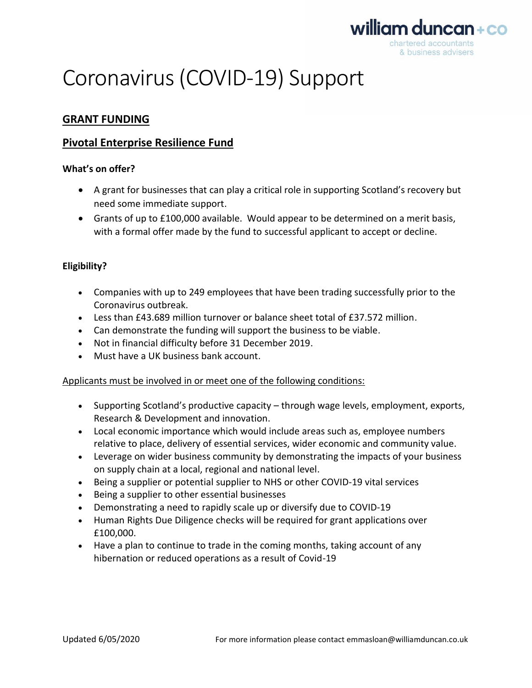

# Coronavirus (COVID-19) Support

# **GRANT FUNDING**

# **Pivotal Enterprise Resilience Fund**

## **What's on offer?**

- A grant for businesses that can play a critical role in supporting Scotland's recovery but need some immediate support.
- Grants of up to £100,000 available. Would appear to be determined on a merit basis, with a formal offer made by the fund to successful applicant to accept or decline.

# **Eligibility?**

- Companies with up to 249 employees that have been trading successfully prior to the Coronavirus outbreak.
- Less than £43.689 million turnover or balance sheet total of £37.572 million.
- Can demonstrate the funding will support the business to be viable.
- Not in financial difficulty before 31 December 2019.
- Must have a UK business bank account.

## Applicants must be involved in or meet one of the following conditions:

- Supporting Scotland's productive capacity through wage levels, employment, exports, Research & Development and innovation.
- Local economic importance which would include areas such as, employee numbers relative to place, delivery of essential services, wider economic and community value.
- Leverage on wider business community by demonstrating the impacts of your business on supply chain at a local, regional and national level.
- Being a supplier or potential supplier to NHS or other COVID-19 vital services
- Being a supplier to other essential businesses
- Demonstrating a need to rapidly scale up or diversify due to COVID-19
- Human Rights Due Diligence checks will be required for grant applications over £100,000.
- Have a plan to continue to trade in the coming months, taking account of any hibernation or reduced operations as a result of Covid-19